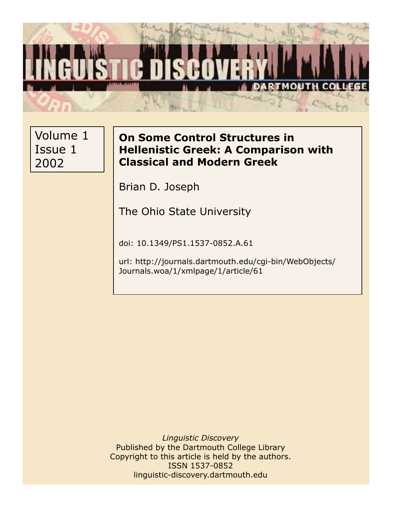

Volume 1 Issue 1 2002

# **On Some Control Structures in Hellenistic Greek: A Comparison with Classical and Modern Greek**

Brian D. Joseph

The Ohio State University

doi: 10.1349/PS1.1537-0852.A.61

url: http://journals.dartmouth.edu/cgi-bin/WebObjects/ Journals.woa/1/xmlpage/1/article/61

*Linguistic Discovery* Published by the Dartmouth College Library Copyright to this article is held by the authors. ISSN 1537-0852 linguistic-discovery.dartmouth.edu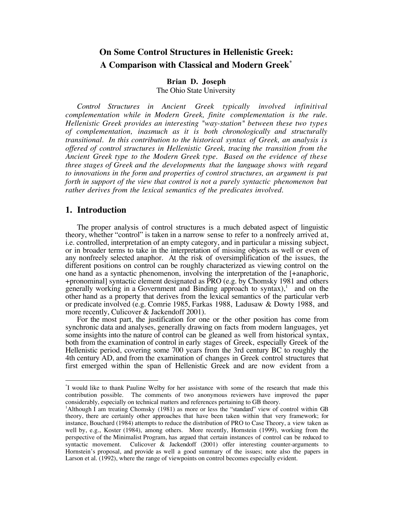# **On Some Control Structures in Hellenistic Greek: A Comparison with Classical and Modern Greek\***

#### **Brian D. Joseph** The Ohio State University

*Control Structures in Ancient Greek typically involved infinitival complementation while in Modern Greek, finite complementation is the rule. Hellenistic Greek provides an interesting "way-station" between these two types of complementation, inasmuch as it is both chronologically and structurally transitional. In this contribution to the historical syntax of Greek, an analysis is offered of control structures in Hellenistic Greek, tracing the transition from the Ancient Greek type to the Modern Greek type. Based on the evidence of these three stages of Greek and the developments that the language shows with regard to innovations in the form and properties of control structures, an argument is put forth in support of the view that control is not a purely syntactic phenomenon but rather derives from the lexical semantics of the predicates involved.*

## **1. Introduction**

 $\overline{a}$ 

The proper analysis of control structures is a much debated aspect of linguistic theory, whether "control" is taken in a narrow sense to refer to a nonfreely arrived at, i.e. controlled, interpretation of an empty category, and in particular a missing subject, or in broader terms to take in the interpretation of missing objects as well or even of any nonfreely selected anaphor. At the risk of oversimplification of the issues, the different positions on control can be roughly characterized as viewing control on the one hand as a syntactic phenomenon, involving the interpretation of the [+anaphoric, +pronominal] syntactic element designated as PRO (e.g. by Chomsky 1981 and others generally working in a Government and Binding approach to syntax),<sup>1</sup> and on the other hand as a property that derives from the lexical semantics of the particular verb or predicate involved (e.g. Comrie 1985, Farkas 1988, Ladusaw & Dowty 1988, and more recently, Culicover & Jackendoff 2001).

For the most part, the justification for one or the other position has come from synchronic data and analyses, generally drawing on facts from modern languages, yet some insights into the nature of control can be gleaned as well from historical syntax, both from the examination of control in early stages of Greek, especially Greek of the Hellenistic period, covering some 700 years from the 3rd century BC to roughly the 4th century AD, and from the examination of changes in Greek control structures that first emerged within the span of Hellenistic Greek and are now evident from a

<sup>\*</sup> I would like to thank Pauline Welby for her assistance with some of the research that made this contribution possible. The comments of two anonymous reviewers have improved the paper considerably, especially on technical matters and references pertaining to GB theory.

<sup>&</sup>lt;sup>1</sup>Although I am treating Chomsky (1981) as more or less the "standard" view of control within GB theory, there are certainly other approaches that have been taken within that very framework; for instance, Bouchard (1984) attempts to reduce the distribution of PRO to Case Theory, a view taken as well by, e.g., Koster (1984), among others. More recently, Hornstein (1999), working from the perspective of the Minimalist Program, has argued that certain instances of control can be reduced to syntactic movement. Culicover & Jackendoff (2001) offer interesting counter-arguments to Hornstein's proposal, and provide as well a good summary of the issues; note also the papers in Larson et al. (1992), where the range of viewpoints on control becomes especially evident.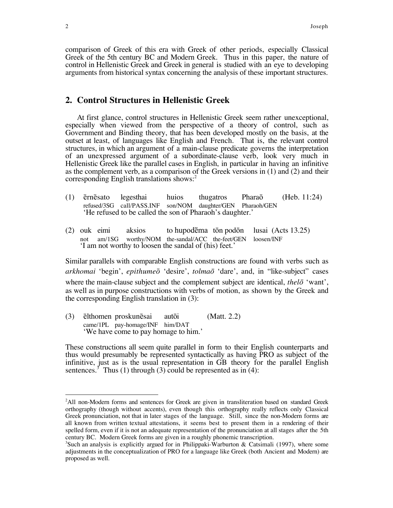comparison of Greek of this era with Greek of other periods, especially Classical Greek of the 5th century BC and Modern Greek. Thus in this paper, the nature of control in Hellenistic Greek and Greek in general is studied with an eye to developing arguments from historical syntax concerning the analysis of these important structures.

### **2. Control Structures in Hellenistic Greek**

At first glance, control structures in Hellenistic Greek seem rather unexceptional, especially when viewed from the perspective of a theory of control, such as Government and Binding theory, that has been developed mostly on the basis, at the outset at least, of languages like English and French. That is, the relevant control structures, in which an argument of a main-clause predicate governs the interpretation of an unexpressed argument of a subordinate-clause verb, look very much in Hellenistic Greek like the parallel cases in English, in particular in having an infinitive as the complement verb, as a comparison of the Greek versions in (1) and (2) and their corresponding English translations shows: $<sup>2</sup>$ </sup>

- (1) e rne sato legesthai huios thugatros Pharao (Heb. 11:24) refused/3SG call/PASS.INF son/NOM daughter/GEN Pharaoh/GEN He refused to be called the son of Pharaoh's daughter.
- (2) ouk eimi aksios to hupodema ton podon lusai (Acts 13.25) not am/1SG worthy/NOM the-sandal/ACC the-feet/GEN loosen/INF I am not worthy to loosen the sandal of (his) feet.

Similar parallels with comparable English constructions are found with verbs such as *arkhomai* 'begin', *epithume*<sup> $\bar{o}$ </sup> 'desire', *tolma*<sup> $\bar{o}$ </sup> 'dare', and, in "like-subject" cases where the main-clause subject and the complement subject are identical, *thel* $\bar{o}$  'want', as well as in purpose constructions with verbs of motion, as shown by the Greek and the corresponding English translation in (3):

(3) elthomen proskunesai autoi (Matt. 2.2) came/1PL pay-homage/INF him/DAT We have come to pay homage to him.<sup>7</sup>

These constructions all seem quite parallel in form to their English counterparts and thus would presumably be represented syntactically as having PRO as subject of the infinitive, just as is the usual representation in GB theory for the parallel English sentences.<sup>3</sup> Thus (1) through (3) could be represented as in (4):

<sup>&</sup>lt;sup>2</sup>All non-Modern forms and sentences for Greek are given in transliteration based on standard Greek orthography (though without accents), even though this orthography really reflects only Classical Greek pronunciation, not that in later stages of the language. Still, since the non-Modern forms are all known from written textual attestations, it seems best to present them in a rendering of their spelled form, even if it is not an adequate representation of the pronunciation at all stages after the 5th century BC. Modern Greek forms are given in a roughly phonemic transcription.

<sup>&</sup>lt;sup>3</sup>Such an analysis is explicitly argued for in Philippaki-Warburton & Catsimali (1997), where some adjustments in the conceptualization of PRO for a language like Greek (both Ancient and Modern) are proposed as well.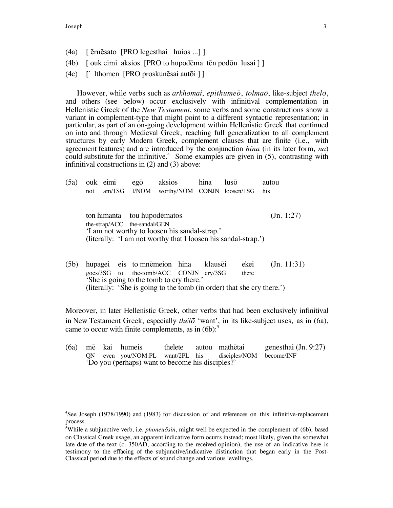- (4a) [ ernesato [PRO legesthai huios ...] ]
- $(4b)$  [ ouk eimi aksios [PRO to hupodēma tēn podon lusai ] ]
- $(4c)$  [ lthomen [PRO proskunēsai autōi ] ]

However, while verbs such as *arkhomai*, *epithumeo*, *tolmao* , like-subject *thelo* , and others (see below) occur exclusively with infinitival complementation in Hellenistic Greek of the *New Testament*, some verbs and some constructions show a variant in complement-type that might point to a different syntactic representation; in particular, as part of an on-going development within Hellenistic Greek that continued on into and through Medieval Greek, reaching full generalization to all complement structures by early Modern Greek, complement clauses that are finite (i.e., with agreement features) and are introduced by the conjunction *hÌna* (in its later form, *na*) could substitute for the infinitive.<sup>4</sup> Some examples are given in  $(5)$ , contrasting with infinitival constructions in (2) and (3) above:

| (5a) |                                                                | ouk eimi                                      | $eg\overline{o}$ | aksios                      | hina | lusõ | autou |  |  |  |
|------|----------------------------------------------------------------|-----------------------------------------------|------------------|-----------------------------|------|------|-------|--|--|--|
|      | not                                                            |                                               | $am/1SG$ $I/NOM$ | worthy/NOM CONJN loosen/1SG |      |      | his   |  |  |  |
|      |                                                                |                                               |                  |                             |      |      |       |  |  |  |
|      |                                                                |                                               |                  |                             |      |      |       |  |  |  |
|      |                                                                | ton himanta tou hupodēmatos                   |                  |                             |      |      |       |  |  |  |
|      | the-strap/ACC the-sandal/GEN                                   |                                               |                  |                             |      |      |       |  |  |  |
|      |                                                                | 'I am not worthy to loosen his sandal-strap.' |                  |                             |      |      |       |  |  |  |
|      | (literally: 'I am not worthy that I loosen his sandal-strap.') |                                               |                  |                             |      |      |       |  |  |  |
|      |                                                                |                                               |                  |                             |      |      |       |  |  |  |
|      |                                                                |                                               |                  |                             |      |      |       |  |  |  |

(5b) hupagei eis to mnemeion hina klausei ekei (Jn. 11:31) goes/3SG to the-tomb/ACC CONJN cry/3SG there She is going to the tomb to cry there.<sup>7</sup> (literally: 'She is going to the tomb (in order) that she cry there.')

Moreover, in later Hellenistic Greek, other verbs that had been exclusively infinitival in New Testament Greek, especially *thélō* 'want', in its like-subject uses, as in (6a), came to occur with finite complements, as in  $(6b)$ :<sup>5</sup>

(6a) me kai humeis thelete autou mathetai genesthai (Jn. 9:27) QN even you/NOM.PL want/2PL his disciples/NOM become/INF ëDo you (perhaps) want to become his disciples?í

<sup>&</sup>lt;sup>4</sup>See Joseph (1978/1990) and (1983) for discussion of and references on this infinitive-replacement process.

<sup>&</sup>lt;sup>5</sup>While a subjunctive verb, i.e. *phoneuōsin*, might well be expected in the complement of (6b), based on Classical Greek usage, an apparent indicative form ocurrs instead; most likely, given the somewhat late date of the text (c. 350AD, according to the received opinion), the use of an indicative here is testimony to the effacing of the subjunctive/indicative distinction that began early in the Post-Classical period due to the effects of sound change and various levellings.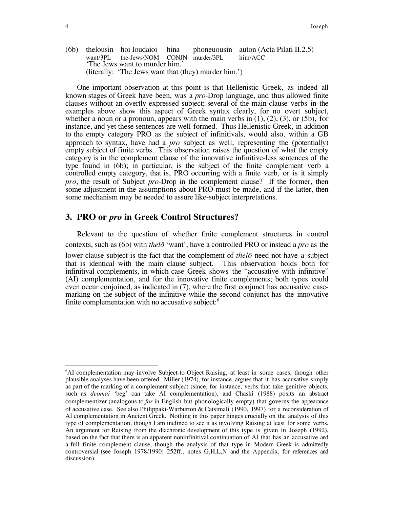(6b) thelousin hoi Ioudaioi hina phoneuousin auton (Acta Pilati II.2.5) want/3PL the-Jews/NOM CONJN murder/3PL him/ACC The Jews want to murder him.' (literally: 'The Jews want that (they) murder him.')

One important observation at this point is that Hellenistic Greek, as indeed all known stages of Greek have been, was a *pro*-Drop language, and thus allowed finite clauses without an overtly expressed subject; several of the main-clause verbs in the examples above show this aspect of Greek syntax clearly, for no overt subject, whether a noun or a pronoun, appears with the main verbs in  $(1)$ ,  $(2)$ ,  $(3)$ , or  $(5b)$ , for instance, and yet these sentences are well-formed. Thus Hellenistic Greek, in addition to the empty category PRO as the subject of infinitivals, would also, within a GB approach to syntax, have had a *pro* subject as well, representing the (potentially) empty subject of finite verbs. This observation raises the question of what the empty category is in the complement clause of the innovative infinitive-less sentences of the type found in (6b); in particular, is the subject of the finite complement verb a controlled empty category, that is, PRO occurring with a finite verb, or is it simply *pro*, the result of Subject *pro*-Drop in the complement clause? If the former, then some adjustment in the assumptions about PRO must be made, and if the latter, then some mechanism may be needed to assure like-subject interpretations.

### **3. PRO or** *pro* **in Greek Control Structures?**

Relevant to the question of whether finite complement structures in control contexts, such as (6b) with *thel*<sup> $\bar{o}$ </sup> 'want', have a controlled PRO or instead a *pro* as the lower clause subject is the fact that the complement of *the lo* need not have a subject that is identical with the main clause subject. This observation holds both for infinitival complements, in which case Greek shows the "accusative with infinitive" (AI) complementation, and for the innovative finite complements; both types could even occur conjoined, as indicated in (7), where the first conjunct has accusative casemarking on the subject of the infinitive while the second conjunct has the innovative finite complementation with no accusative subject:<sup>6</sup>

 $\overline{a}$ <sup>6</sup>AI complementation may involve Subject-to-Object Raising, at least in some cases, though other plausible analyses have been offered. Miller (1974), for instance, argues that it has accusative simply as part of the marking of a complement subject (since, for instance, verbs that take genitive objects, such as *deomai* ëbegí can take AI complementation), and Chaski (1988) posits an abstract complementizer (analogous to *for* in English but phonologically empty) that governs the appearance of accusative case. See also Philippaki-Warburton & Catsimali (1990, 1997) for a reconsideration of AI complementation in Ancient Greek. Nothing in this paper hinges crucially on the analysis of this type of complementation, though I am inclined to see it as involving Raising at least for some verbs. An argument for Raising from the diachronic development of this type is given in Joseph (1992), based on the fact that there is an apparent noninfinitival continuation of AI that has an accusative and a full finite complement clause, though the analysis of that type in Modern Greek is admittedly controversial (see Joseph 1978/1990: 252ff., notes G,H,L,N and the Appendix, for references and discussion).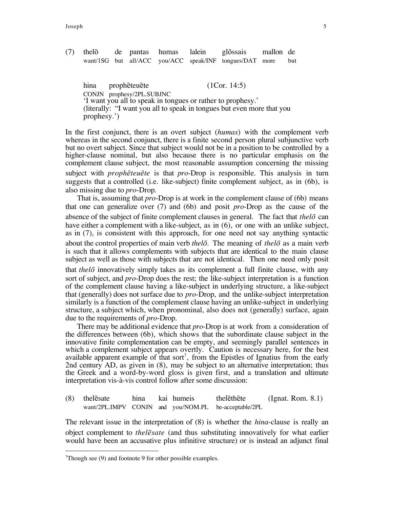(7) thelo de pantas humas lalein glossais mallon de want/1SG but all/ACC you/ACC speak/INF tongues/DAT more but

hina propheteuete (1Cor. 14:5) CONJN prophesy/2PL.SUBJNC I want you all to speak in tongues or rather to prophesy.' (literally: "I want you all to speak in tongues but even more that you prophesy.<sup>'</sup>)

In the first conjunct, there is an overt subject (*humas*) with the complement verb whereas in the second conjunct, there is a finite second person plural subjunctive verb but no overt subject. Since that subject would not be in a position to be controlled by a higher-clause nominal, but also because there is no particular emphasis on the complement clause subject, the most reasonable assumption concerning the missing subject with *propheteuete* is that *pro*-Drop is responsible. This analysis in turn suggests that a controlled (i.e. like-subject) finite complement subject, as in (6b), is also missing due to *pro*-Drop.

That is, assuming that *pro*-Drop is at work in the complement clause of (6b) means that one can generalize over (7) and (6b) and posit *pro*-Drop as the cause of the absence of the subject of finite complement clauses in general. The fact that *thelo*  can have either a complement with a like-subject, as in  $(6)$ , or one with an unlike subject, as in (7), is consistent with this approach, for one need not say anything syntactic about the control properties of main verb *thelo*. The meaning of *thelo*  as a main verb is such that it allows complements with subjects that are identical to the main clause subject as well as those with subjects that are not identical. Then one need only posit that *the* $l\bar{\sigma}$  innovatively simply takes as its complement a full finite clause, with any sort of subject, and *pro*-Drop does the rest; the like-subject interpretation is a function of the complement clause having a like-subject in underlying structure, a like-subject that (generally) does not surface due to *pro*-Drop, and the unlike-subject interpretation similarly is a function of the complement clause having an unlike-subject in underlying structure, a subject which, when pronominal, also does not (generally) surface, again due to the requirements of *pro*-Drop.

There may be additional evidence that *pro*-Drop is at work from a consideration of the differences between (6b), which shows that the subordinate clause subject in the innovative finite complementation can be empty, and seemingly parallel sentences in which a complement subject appears overtly. Caution is necessary here, for the best available apparent example of that sort<sup>7</sup>, from the Epistles of Ignatius from the early 2nd century AD, as given in (8), may be subject to an alternative interpretation; thus the Greek and a word-by-word gloss is given first, and a translation and ultimate interpretation vis-à-vis control follow after some discussion:

(8) thelesate hina kai humeis thelethete (Ignat. Rom. 8.1) want/2PL.IMPV CONJN and you/NOM.PL be-acceptable/2PL

The relevant issue in the interpretation of (8) is whether the *hina*-clause is really an object complement to *thele sate* (and thus substituting innovatively for what earlier would have been an accusative plus infinitive structure) or is instead an adjunct final

 $7$ Though see (9) and footnote 9 for other possible examples.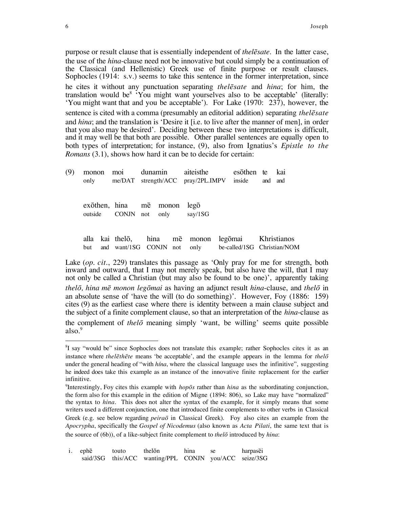purpose or result clause that is essentially independent of *thelesate*. In the latter case, the use of the *hina*-clause need not be innovative but could simply be a continuation of the Classical (and Hellenistic) Greek use of finite purpose or result clauses. Sophocles (1914: s.v.) seems to take this sentence in the former interpretation, since he cites it without any punctuation separating *thele sate* and *hina*; for him, the translation would be<sup>8</sup> 'You might want yourselves also to be acceptable' (literally: 'You might want that and you be acceptable'). For Lake  $(1970: 237)$ , however, the sentence is cited with a comma (presumably an editorial addition) separating *thele sate* and *hina*; and the translation is 'Desire it [i.e. to live after the manner of men], in order that you also may be desired'. Deciding between these two interpretations is difficult, and it may well be that both are possible. Other parallel sentences are equally open to both types of interpretation; for instance, (9), also from Ignatius's *Epistle to the Romans* (3.1), shows how hard it can be to decide for certain:

| (9) |     |  | monon moi dunamin aiteisthe esothen te kai<br>only me/DAT strength/ACC pray/2PL.IMPV inside and and |  |              |                                                                                                              |  |  |
|-----|-----|--|-----------------------------------------------------------------------------------------------------|--|--------------|--------------------------------------------------------------------------------------------------------------|--|--|
|     |     |  | exothen, hina me monon<br>outside CONJN not only say/1SG                                            |  | $leg\bar{o}$ |                                                                                                              |  |  |
|     | but |  |                                                                                                     |  |              | alla kai thelō, hina mē monon legōmai Khristianos<br>and want/1SG CONJN not only be-called/1SG Christian/NOM |  |  |

Lake (*op. cit.*, 229) translates this passage as 'Only pray for me for strength, both inward and outward, that I may not merely speak, but also have the will, that I may not only be called a Christian (but may also be found to be one), apparently taking *thelo , hina me monon legomai* as having an adjunct result *hina*-clause, and *thelo*  in an absolute sense of 'have the will (to do something)'. However, Foy  $(1886: 159)$ cites (9) as the earliest case where there is identity between a main clause subject and the subject of a finite complement clause, so that an interpretation of the *hina*-clause as the complement of *thel*<sup> $\bar{o}$ </sup> meaning simply 'want, be willing' seems quite possible also. $9$ 

<sup>&</sup>lt;sup>8</sup>I say "would be" since Sophocles does not translate this example; rather Sophocles cites it as an instance where *the l* $\bar{e}$ *th* $\bar{e}$ *te* means 'be acceptable', and the example appears in the lemma for *the* $\bar{lo}$ under the general heading of "with *hina*, where the classical language uses the infinitive", suggesting he indeed does take this example as an instance of the innovative finite replacement for the earlier infinitive.

<sup>&</sup>lt;sup>9</sup>Interestingly, Foy cites this example with *hopos* rather than *hina* as the subordinating conjunction, the form also for this example in the edition of Migne  $(1894: 806)$ , so Lake may have "normalized" the syntax to *hina*. This does not alter the syntax of the example, for it simply means that some writers used a different conjunction, one that introduced finite complements to other verbs in Classical Greek (e.g. see below regarding *peira*<sup>*o*</sup> in Classical Greek). Foy also cites an example from the *Apocrypha*, specifically the *Gospel of Nicodemus* (also known as *Acta Pilati*, the same text that is the source of (6b)), of a like-subject finite complement to *thelo* introduced by *hina*:

i. ephe touto thelon hina se harpasei said/3SG this/ACC wanting/PPL CONJN you/ACC seize/3SG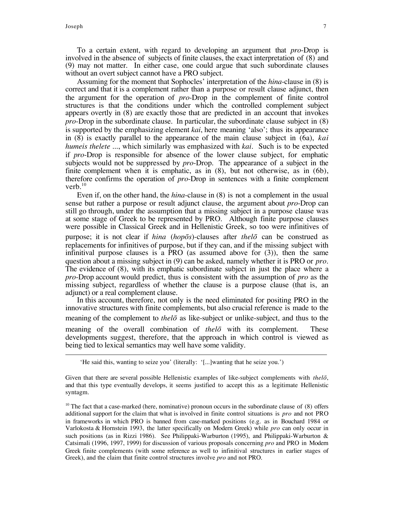To a certain extent, with regard to developing an argument that *pro*-Drop is involved in the absence of subjects of finite clauses, the exact interpretation of (8) and (9) may not matter. In either case, one could argue that such subordinate clauses without an overt subject cannot have a PRO subject.

Assuming for the moment that Sophocles' interpretation of the *hina*-clause in (8) is correct and that it is a complement rather than a purpose or result clause adjunct, then the argument for the operation of *pro*-Drop in the complement of finite control structures is that the conditions under which the controlled complement subject appears overtly in (8) are exactly those that are predicted in an account that invokes *pro*-Drop in the subordinate clause. In particular, the subordinate clause subject in (8) is supported by the emphasizing element *kai*, here meaning 'also'; thus its appearance in (8) is exactly parallel to the appearance of the main clause subject in (6a), *kai humeis thelete ...*, which similarly was emphasized with *kai*. Such is to be expected if *pro*-Drop is responsible for absence of the lower clause subject, for emphatic subjects would not be suppressed by *pro*-Drop. The appearance of a subject in the finite complement when it is emphatic, as in (8), but not otherwise, as in (6b), therefore confirms the operation of *pro*-Drop in sentences with a finite complement verb. $10$ 

Even if, on the other hand, the *hina*-clause in (8) is not a complement in the usual sense but rather a purpose or result adjunct clause, the argument about *pro*-Drop can still go through, under the assumption that a missing subject in a purpose clause was at some stage of Greek to be represented by PRO. Although finite purpose clauses were possible in Classical Greek and in Hellenistic Greek, so too were infinitives of purpose; it is not clear if *hina* (*hopos*)-clauses after *thelo*  can be construed as replacements for infinitives of purpose, but if they can, and if the missing subject with infinitival purpose clauses is a PRO (as assumed above for (3)), then the same question about a missing subject in (9) can be asked, namely whether it is PRO or *pro*. The evidence of (8), with its emphatic subordinate subject in just the place where a *pro*-Drop account would predict, thus is consistent with the assumption of *pro* as the missing subject, regardless of whether the clause is a purpose clause (that is, an adjunct) or a real complement clause.

In this account, therefore, not only is the need eliminated for positing PRO in the innovative structures with finite complements, but also crucial reference is made to the meaning of the complement to *thelo*  as like-subject or unlike-subject, and thus to the meaning of the overall combination of *thelo*  with its complement. These developments suggest, therefore, that the approach in which control is viewed as being tied to lexical semantics may well have some validity.

<sup>&#</sup>x27;He said this, wanting to seize you' (literally: '[...]wanting that he seize you.')

Given that there are several possible Hellenistic examples of like-subject complements with *thelo*, and that this type eventually develops, it seems justified to accept this as a legitimate Hellenistic syntagm.

 $10$  The fact that a case-marked (here, nominative) pronoun occurs in the subordinate clause of (8) offers additional support for the claim that what is involved in finite control situations is *pro* and not PRO in frameworks in which PRO is banned from case-marked positions (e.g. as in Bouchard 1984 or Varlokosta & Hornstein 1993, the latter specifically on Modern Greek) while *pro* can only occur in such positions (as in Rizzi 1986). See Philippaki-Warburton (1995), and Philippaki-Warburton & Catsimali (1996, 1997, 1999) for discussion of various proposals concerning *pro* and PRO in Modern Greek finite complements (with some reference as well to infinitival structures in earlier stages of Greek), and the claim that finite control structures involve *pro* and not PRO.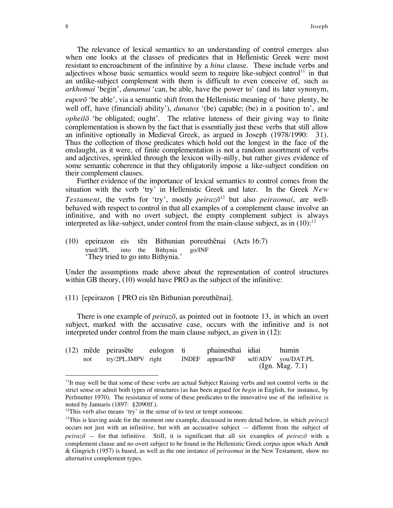The relevance of lexical semantics to an understanding of control emerges also when one looks at the classes of predicates that in Hellenistic Greek were most resistant to encroachment of the infinitive by a *hina* clause. These include verbs and adjectives whose basic semantics would seem to require like-subject control<sup>11</sup> in that an unlike-subject complement with them is difficult to even conceive of, such as *arkhomai* 'begin', *dunamai* 'can, be able, have the power to' (and its later synonym, *eupor*<sup> $\ddot{o}$ </sup> the able', via a semantic shift from the Hellenistic meaning of 'have plenty, be well off, have (financial) ability'), *dunatos* '(be) capable; (be) in a position to', and *opheil*<sup>*o*</sup> the obligated; ought'. The relative lateness of their giving way to finite complementation is shown by the fact that is essentially just these verbs that still allow an infinitive optionally in Medieval Greek, as argued in Joseph (1978/1990: 31). Thus the collection of those predicates which hold out the longest in the face of the onslaught, as it were, of finite complementation is not a random assortment of verbs and adjectives, sprinkled through the lexicon willy-nilly, but rather gives evidence of some semantic coherence in that they obligatorily impose a like-subject condition on their complement clauses.

Further evidence of the importance of lexical semantics to control comes from the situation with the verb 'try' in Hellenistic Greek and later. In the Greek *New Testament*, the verbs for 'try', mostly *peiraz* $\bar{o}^{12}$  but also *peiraomai*, are wellbehaved with respect to control in that all examples of a complement clause involve an infinitive, and with no overt subject, the empty complement subject is always interpreted as like-subject, under control from the main-clause subject, as in  $(10)^{13}$ 

(10) epeirazon eis tēn Bithunian poreuthēnai (Acts 16:7) tried/3PL into the Bithynia go/INF They tried to go into Bithynia.

Under the assumptions made above about the representation of control structures within GB theory, (10) would have PRO as the subject of the infinitive:

 $(11)$  [epeirazon [ PRO eis tēn Bithunian poreuthenai].

There is one example of *peirazo*, as pointed out in footnote 13, in which an overt subject, marked with the accusative case, occurs with the infinitive and is not interpreted under control from the main clause subject, as given in (12):

|     | (12) mēde peirasēte eulogon ti |  | phainesthai idiai |                    | humin               |  |
|-----|--------------------------------|--|-------------------|--------------------|---------------------|--|
| not | try/2PL.IMPV right             |  | INDEF appear/INF  |                    | self/ADV you/DAT.PL |  |
|     |                                |  |                   | (Ign. Mag. $7.1$ ) |                     |  |

 $11$ It may well be that some of these verbs are actual Subject Raising verbs and not control verbs in the strict sense or admit both types of structures (as has been argued for *begin* in English, for instance, by Perlmutter 1970). The resistance of some of these predicates to the innovative use of the infinitive is noted by Jannaris (1897: ß2090ff.).

 $12$ This verb also means 'try' in the sense of to test or tempt someone.

<sup>&</sup>lt;sup>13</sup>This is leaving aside for the moment one example, discussed in more detail below, in which *peiraz* $\bar{o}$ occurs not just with an infinitive, but with an accusative subject  $-$  different from the subject of *peiraz* $\bar{\sigma}$  – for that infinitive. Still, it is significant that all six examples of *peiraz* $\bar{\sigma}$  with a complement clause and no overt subject to be found in the Hellenistic Greek corpus upon which Arndt & Gingrich (1957) is based, as well as the one instance of *peiraomai* in the New Testament, show no alternative complement types.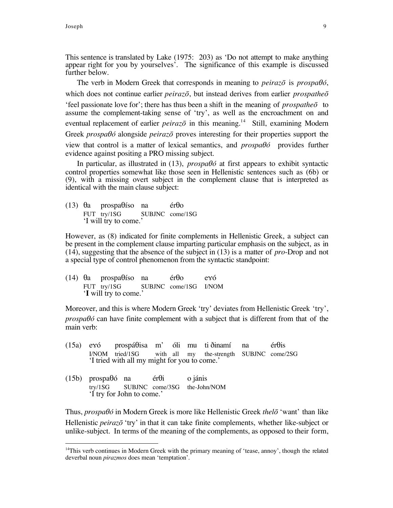This sentence is translated by Lake (1975: 203) as 'Do not attempt to make anything appear right for you by yourselves'. The significance of this example is discussed further below.

The verb in Modern Greek that corresponds in meaning to *peiraz* $\bar{o}$  is *prospab* $\delta$ , which does not continue earlier *peiraz* $\bar{o}$ , but instead derives from earlier *prospathe* $\bar{o}$  $\phi$  feel passionate love for ; there has thus been a shift in the meaning of *prospathe*  $\bar{\sigma}$  to assume the complement-taking sense of 'try', as well as the encroachment on and eventual replacement of earlier *peiraz* $\bar{o}$  in this meaning.<sup>14</sup> Still, examining Modern Greek *prospaÛ* alongside *peirazo*  proves interesting for their properties support the view that control is a matter of lexical semantics, and *prospaÛ* provides further evidence against positing a PRO missing subject.

In particular, as illustrated in (13), *prospaÛ* at first appears to exhibit syntactic control properties somewhat like those seen in Hellenistic sentences such as (6b) or (9), with a missing overt subject in the complement clause that is interpreted as identical with the main clause subject:

(13)  $\theta$ a prospa $\theta$ íso na ér $\theta$ o FUT try/1SG SUBJNC come/1SG I will try to come.

However, as (8) indicated for finite complements in Hellenistic Greek, a subject can be present in the complement clause imparting particular emphasis on the subject, as in (14), suggesting that the absence of the subject in (13) is a matter of *pro*-Drop and not a special type of control phenomenon from the syntactic standpoint:

 $(14)$   $\theta$ a prospa $\theta$ íso na ér $\theta$ o exó FUT try/1SG SUBJNC come/1SG I/NOM 'I will try to come.'

Moreover, and this is where Modern Greek 'try' deviates from Hellenistic Greek 'try', *prospa* $\theta$ *<sup>* $\delta$ *</sup>* can have finite complement with a subject that is different from that of the main verb:

- (15a) exó prospá $\theta$ isa m' óli mu ti ðinamí na ér $\theta$ is I/NOM tried/1SG with all my the-strength SUBJNC come/2SG I tried with all my might for you to come.
- $(15b)$  prospa $\theta$ ó na ér $\theta$ i o jánis try/1SG SUBJNC come/3SG the-John/NOM I try for John to come.

Thus, *prospaθó* in Modern Greek is more like Hellenistic Greek *thel*<sup>5</sup> 'want' than like Hellenistic *peiraz*<sup>*o*</sup> 'try' in that it can take finite complements, whether like-subject or unlike-subject. In terms of the meaning of the complements, as opposed to their form,

 $14$ This verb continues in Modern Greek with the primary meaning of 'tease, annoy', though the related deverbal noun *pirazmos* does mean 'temptation'.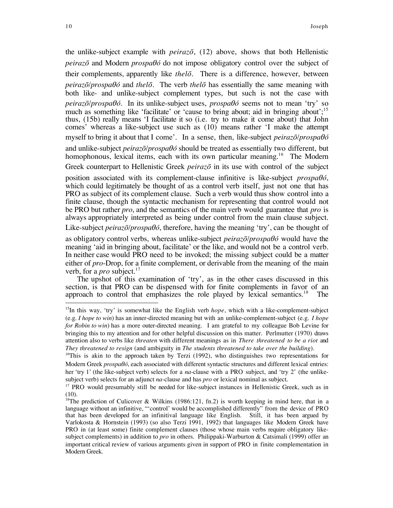the unlike-subject example with *peirazo* , (12) above, shows that both Hellenistic *peiraz*<sup> $\bar{o}$ </sup> and Modern *prospa* $\theta$ *ó* do not impose obligatory control over the subject of their complements, apparently like *thelo*. There is a difference, however, between *peirazo*/*prospaÛ* and *thelo* . The verb *thelo*  has essentially the same meaning with both like- and unlike-subject complement types, but such is not the case with  $p\acute{e}$ *iraz* $\bar{o}/p\acute{e}$ *prospa* $\theta\acute{o}$ *.* In its unlike-subject uses,  $p\acute{e}$ *rospa* $\theta\acute{o}$  seems not to mean 'try' so much as something like 'facilitate' or 'cause to bring about; aid in bringing about';<sup>15</sup> thus, (15b) really means ëI facilitate it so (i.e. try to make it come about) that John comes' whereas a like-subject use such as (10) means rather 'I make the attempt myself to bring it about that I come'. In a sense, then, like-subject *peiraz* $\bar{o}$ /*prospa* $\theta$ *ó* and unlike-subject *peirazo*/*prospaÛ* should be treated as essentially two different, but homophonous, lexical items, each with its own particular meaning.<sup>16</sup> The Modern Greek counterpart to Hellenistic Greek *peirazo*  in its use with control of the subject

position associated with its complement-clause infinitive is like-subject *prospaÛ*, which could legitimately be thought of as a control verb itself, just not one that has PRO as subject of its complement clause. Such a verb would thus show control into a finite clause, though the syntactic mechanism for representing that control would not be PRO but rather *pro*, and the semantics of the main verb would guarantee that *pro* is always appropriately interpreted as being under control from the main clause subject.

Like-subject *peirazō/prospa* $\theta$ *ó*, therefore, having the meaning 'try', can be thought of

as obligatory control verbs, whereas unlike-subject *peirazo*/*prospaÛ* would have the meaning 'aid in bringing about, facilitate' or the like, and would not be a control verb. In neither case would PRO need to be invoked; the missing subject could be a matter either of *pro*-Drop, for a finite complement, or derivable from the meaning of the main verb, for a *pro* subject.<sup>17</sup>

The upshot of this examination of 'try', as in the other cases discussed in this section, is that PRO can be dispensed with for finite complements in favor of an approach to control that emphasizes the role played by lexical semantics.<sup>18</sup> The

<sup>&</sup>lt;sup>15</sup>In this way, 'try' is somewhat like the English verb *hope*, which with a like-complement-subject (e.g. *I hope to win*) has an inner-directed meaning but with an unlike-complement-subject (e.g. *I hope for Robin to win*) has a more outer-directed meaning. I am grateful to my colleague Bob Levine for bringing this to my attention and for other helpful discussion on this matter. Perlmutter (1970) draws attention also to verbs like *threaten* with different meanings as in *There threatened to be a riot* and *They threatened to resign* (and ambiguity in *The students threatened to take over the building*).

 $16$ This is akin to the approach taken by Terzi (1992), who distinguishes two representations for Modern Greek *prospaÛ*, each associated with different syntactic structures and different lexical entries: her 'try 1' (the like-subject verb) selects for a *na*-clause with a PRO subject, and 'try 2' (the unlikesubject verb) selects for an adjunct *na*-clause and has *pro* or lexical nominal as subject.

<sup>&</sup>lt;sup>17</sup> PRO would presumably still be needed for like-subject instances in Hellenistic Greek, such as in (10).

<sup>&</sup>lt;sup>18</sup>The prediction of Culicover & Wilkins (1986:121, fn.2) is worth keeping in mind here, that in a language without an infinitive, "'control' would be accomplished differently" from the device of PRO that has been developed for an infinitival language like English. Still, it has been argued by Varlokosta & Hornstein (1993) (so also Terzi 1991, 1992) that languages like Modern Greek have PRO in (at least some) finite complement clauses (those whose main verbs require obligatory likesubject complements) in addition to *pro* in others. Philippaki-Warburton & Catsimali (1999) offer an important critical review of various arguments given in support of PRO in finite complementation in Modern Greek.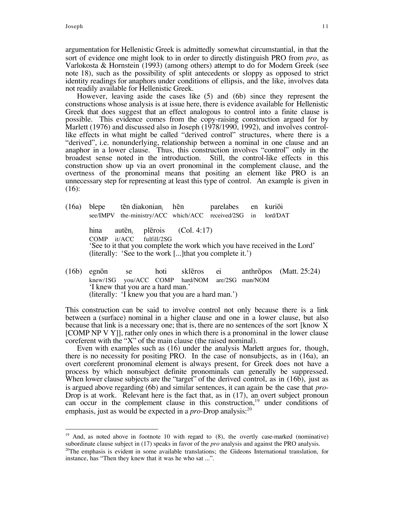argumentation for Hellenistic Greek is admittedly somewhat circumstantial, in that the sort of evidence one might look to in order to directly distinguish PRO from *pro*, as Varlokosta & Hornstein (1993) (among others) attempt to do for Modern Greek (see note 18), such as the possibility of split antecedents or sloppy as opposed to strict identity readings for anaphors under conditions of ellipsis, and the like, involves data not readily available for Hellenistic Greek.

However, leaving aside the cases like (5) and (6b) since they represent the constructions whose analysis is at issue here, there is evidence available for Hellenistic Greek that does suggest that an effect analogous to control into a finite clause is possible. This evidence comes from the copy-raising construction argued for by Marlett (1976) and discussed also in Joseph (1978/1990, 1992), and involves controllike effects in what might be called "derived control" structures, where there is a ìderivedî, i.e. nonunderlying, relationship between a nominal in one clause and an anaphor in a lower clause. Thus, this construction involves "control" only in the broadest sense noted in the introduction. Still, the control-like effects in this construction show up via an overt pronominal in the complement clause, and the overtness of the pronominal means that positing an element like PRO is an unnecessary step for representing at least this type of control. An example is given in (16):

- $(16a)$  blepe ten diakonian<sub>i</sub> hen parelabes en kurioi see/IMPV the-ministry/ACC which/ACC received/2SG in lord/DAT hina auten<sub>i</sub> plerois  $(Col. 4:17)$ COMP it/ACC fulfill/2SG See to it that you complete the work which you have received in the Lord' (literally: 'See to the work  $[...]$ that you complete it.')
- $(16b)$  egnon se hoti skl $\overline{e}$  ei anthropos (Matt. 25:24) knew/1SG you/ACC COMP hard/NOM are/2SG man/NOM 'I knew that you are a hard man.' (literally: 'I knew you that you are a hard man.')

This construction can be said to involve control not only because there is a link between a (surface) nominal in a higher clause and one in a lower clause, but also because that link is a necessary one; that is, there are no sentences of the sort [know X [COMP NP V Y]], rather only ones in which there is a pronominal in the lower clause coreferent with the "X" of the main clause (the raised nominal).

Even with examples such as (16) under the analysis Marlett argues for, though, there is no necessity for positing PRO. In the case of nonsubjects, as in (16a), an overt coreferent pronominal element is always present, for Greek does not have a process by which nonsubject definite pronominals can generally be suppressed. When lower clause subjects are the "target" of the derived control, as in  $(16b)$ , just as is argued above regarding (6b) and similar sentences, it can again be the case that *pro*-Drop is at work. Relevant here is the fact that, as in (17), an overt subject pronoun can occur in the complement clause in this construction,<sup>19</sup> under conditions of emphasis, just as would be expected in a *pro*-Drop analysis:<sup>20</sup>

 $19$  And, as noted above in footnote 10 with regard to  $(8)$ , the overtly case-marked (nominative) subordinate clause subject in (17) speaks in favor of the *pro* analysis and against the PRO analysis.

<sup>&</sup>lt;sup>20</sup>The emphasis is evident in some available translations; the Gideons International translation, for instance, has "Then they knew that it was he who sat ...".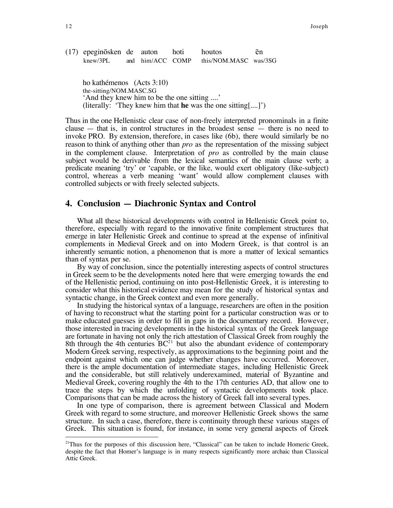(17) epeginosken de auton hoti houtos en knew/3PL and him/ACC COMP this/NOM.MASC was/3SG

ho kathémenos (Acts 3:10) the-sitting/NOM.MASC.SG And they knew him to be the one sitting ....' (literally: 'They knew him that **he** was the one sitting[....]')

Thus in the one Hellenistic clear case of non-freely interpreted pronominals in a finite clause  $-$  that is, in control structures in the broadest sense  $-$  there is no need to invoke PRO. By extension, therefore, in cases like (6b), there would similarly be no reason to think of anything other than *pro* as the representation of the missing subject in the complement clause. Interpretation of *pro* as controlled by the main clause subject would be derivable from the lexical semantics of the main clause verb; a predicate meaning ëtryí or ëcapable, or the like, would exert obligatory (like-subject) control, whereas a verb meaning 'want' would allow complement clauses with controlled subjects or with freely selected subjects.

#### **4. Conclusion – Diachronic Syntax and Control**

What all these historical developments with control in Hellenistic Greek point to, therefore, especially with regard to the innovative finite complement structures that emerge in later Hellenistic Greek and continue to spread at the expense of infinitival complements in Medieval Greek and on into Modern Greek, is that control is an inherently semantic notion, a phenomenon that is more a matter of lexical semantics than of syntax per se.

By way of conclusion, since the potentially interesting aspects of control structures in Greek seem to be the developments noted here that were emerging towards the end of the Hellenistic period, continuing on into post-Hellenistic Greek, it is interesting to consider what this historical evidence may mean for the study of historical syntax and syntactic change, in the Greek context and even more generally.

In studying the historical syntax of a language, researchers are often in the position of having to reconstruct what the starting point for a particular construction was or to make educated guesses in order to fill in gaps in the documentary record. However, those interested in tracing developments in the historical syntax of the Greek language are fortunate in having not only the rich attestation of Classical Greek from roughly the 8th through the 4th centuries  $BC^{21}$  but also the abundant evidence of contemporary Modern Greek serving, respectively, as approximations to the beginning point and the endpoint against which one can judge whether changes have occurred. Moreover, there is the ample documentation of intermediate stages, including Hellenistic Greek and the considerable, but still relatively underexamined, material of Byzantine and Medieval Greek, covering roughly the 4th to the 17th centuries AD, that allow one to trace the steps by which the unfolding of syntactic developments took place. Comparisons that can be made across the history of Greek fall into several types.

In one type of comparison, there is agreement between Classical and Modern Greek with regard to some structure, and moreover Hellenistic Greek shows the same structure. In such a case, therefore, there is continuity through these various stages of Greek. This situation is found, for instance, in some very general aspects of Greek

 $21$ Thus for the purposes of this discussion here, "Classical" can be taken to include Homeric Greek, despite the fact that Homer's language is in many respects significantly more archaic than Classical Attic Greek.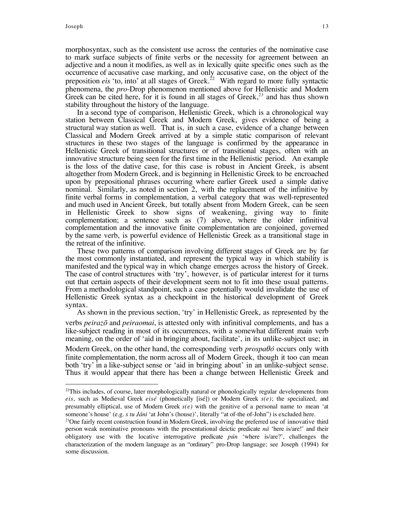morphosyntax, such as the consistent use across the centuries of the nominative case to mark surface subjects of finite verbs or the necessity for agreement between an adjective and a noun it modifies, as well as in lexically quite specific ones such as the occurrence of accusative case marking, and only accusative case, on the object of the preposition *eis* 'to, into' at all stages of Greek.<sup>22</sup> With regard to more fully syntactic phenomena, the *pro*-Drop phenomenon mentioned above for Hellenistic and Modern Greek can be cited here, for it is found in all stages of Greek,<sup>23</sup> and has thus shown stability throughout the history of the language.

In a second type of comparison, Hellenistic Greek, which is a chronological way station between Classical Greek and Modern Greek, gives evidence of being a structural way station as well. That is, in such a case, evidence of a change between Classical and Modern Greek arrived at by a simple static comparison of relevant structures in these two stages of the language is confirmed by the appearance in Hellenistic Greek of transitional structures or of transitional stages, often with an innovative structure being seen for the first time in the Hellenistic period. An example is the loss of the dative case, for this case is robust in Ancient Greek, is absent altogether from Modern Greek, and is beginning in Hellenistic Greek to be encroached upon by prepositional phrases occurring where earlier Greek used a simple dative nominal. Similarly, as noted in section 2, with the replacement of the infinitive by finite verbal forms in complementation, a verbal category that was well-represented and much used in Ancient Greek, but totally absent from Modern Greek, can be seen in Hellenistic Greek to show signs of weakening, giving way to finite complementation; a sentence such as (7) above, where the older infinitival complementation and the innovative finite complementation are conjoined, governed by the same verb, is powerful evidence of Hellenistic Greek as a transitional stage in the retreat of the infinitive.

These two patterns of comparison involving different stages of Greek are by far the most commonly instantiated, and represent the typical way in which stability is manifested and the typical way in which change emerges across the history of Greek. The case of control structures with 'try', however, is of particular interest for it turns out that certain aspects of their development seem not to fit into these usual patterns. From a methodological standpoint, such a case potentially would invalidate the use of Hellenistic Greek syntax as a checkpoint in the historical development of Greek syntax.

As shown in the previous section, 'try' in Hellenistic Greek, as represented by the verbs *peirazo* and *peiraomai*, is attested only with infinitival complements, and has a like-subject reading in most of its occurrences, with a somewhat different main verb meaning, on the order of 'aid in bringing about, facilitate', in its unlike-subject use; in

Modern Greek, on the other hand, the corresponding verb *prospaÛ* occurs only with finite complementation, the norm across all of Modern Greek, though it too can mean both 'try' in a like-subject sense or 'aid in bringing about' in an unlike-subject sense. Thus it would appear that there has been a change between Hellenistic Greek and

 $22$ This includes, of course, later morphologically natural or phonologically regular developments from *eis*, such as Medieval Greek *eisÈ* (phonetically [isÈ]) or Modern Greek *s(e)*; the specialized, and presumably elliptical, use of Modern Greek *s(e)* with the genitive of a personal name to mean ëat someone's house' (e.g. *s tu Jáni* 'at John's (house)', literally "at of-the of-John") is excluded here.

 $^{23}$ One fairly recent construction found in Modern Greek, involving the preferred use of innovative third person weak nominative pronouns with the presentational deictic predicate *ná* 'here is/are!' and their obligatory use with the locative interrogative predicate *pún* 'where is/are?', challenges the characterization of the modern language as an "ordinary" pro-Drop language; see Joseph (1994) for some discussion.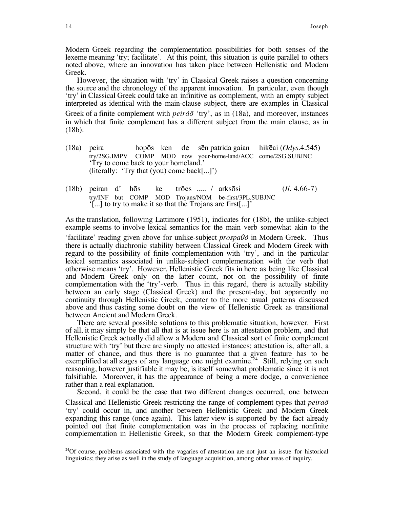Modern Greek regarding the complementation possibilities for both senses of the lexeme meaning 'try; facilitate'. At this point, this situation is quite parallel to others noted above, where an innovation has taken place between Hellenistic and Modern Greek.

However, the situation with 'try' in Classical Greek raises a question concerning the source and the chronology of the apparent innovation. In particular, even though ëtryí in Classical Greek could take an infinitive as complement, with an empty subject interpreted as identical with the main-clause subject, there are examples in Classical Greek of a finite complement with *peiráo* 'try', as in (18a), and moreover, instances in which that finite complement has a different subject from the main clause, as in (18b):

- (18a) peira hopos ken de sen patrida gaian hikeai (*Odys.*4.545) try/2SG.IMPV COMP MOD now your-home-land/ACC come/2SG.SUBJNC Try to come back to your homeland. (literally: 'Try that (you) come back[...]')
- $(18b)$  peiran d' hos ke trones ..... / arksosi  $(II. 4.66-7)$ try/INF but COMP MOD Trojans/NOM be-first/3PL.SUBJNC  $\lceil \cdot \rceil$  to try to make it so that the Trojans are first [...]<sup>t</sup>

As the translation, following Lattimore (1951), indicates for (18b), the unlike-subject example seems to involve lexical semantics for the main verb somewhat akin to the

ëfacilitateí reading given above for unlike-subject *prospaÛ* in Modern Greek. Thus there is actually diachronic stability between Classical Greek and Modern Greek with regard to the possibility of finite complementation with 'try', and in the particular lexical semantics associated in unlike-subject complementation with the verb that otherwise means ëtryí. However, Hellenistic Greek fits in here as being like Classical and Modern Greek only on the latter count, not on the possibility of finite complementation with the 'try'-verb. Thus in this regard, there is actually stability between an early stage (Classical Greek) and the present-day, but apparently no continuity through Hellenistic Greek, counter to the more usual patterns discussed above and thus casting some doubt on the view of Hellenistic Greek as transitional between Ancient and Modern Greek.

There are several possible solutions to this problematic situation, however. First of all, it may simply be that all that is at issue here is an attestation problem, and that Hellenistic Greek actually did allow a Modern and Classical sort of finite complement structure with 'try' but there are simply no attested instances; attestation is, after all, a matter of chance, and thus there is no guarantee that a given feature has to be exemplified at all stages of any language one might examine.<sup>24</sup> Still, relying on such reasoning, however justifiable it may be, is itself somewhat problematic since it is not falsifiable. Moreover, it has the appearance of being a mere dodge, a convenience rather than a real explanation.

Second, it could be the case that two different changes occurred, one between Classical and Hellenistic Greek restricting the range of complement types that *peirao*  ëtryí could occur in, and another between Hellenistic Greek and Modern Greek expanding this range (once again). This latter view is supported by the fact already pointed out that finite complementation was in the process of replacing nonfinite complementation in Hellenistic Greek, so that the Modern Greek complement-type

<sup>&</sup>lt;sup>24</sup>Of course, problems associated with the vagaries of attestation are not just an issue for historical linguistics; they arise as well in the study of language acquisition, among other areas of inquiry.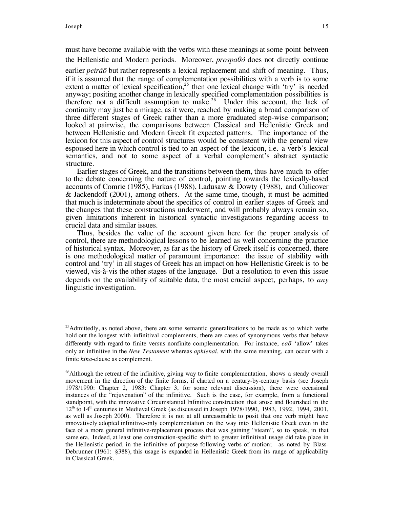must have become available with the verbs with these meanings at some point between the Hellenistic and Modern periods. Moreover, *prospaÛ* does not directly continue

earlier *peiráo* but rather represents a lexical replacement and shift of meaning. Thus, if it is assumed that the range of complementation possibilities with a verb is to some extent a matter of lexical specification,<sup>25</sup> then one lexical change with 'try' is needed anyway; positing another change in lexically specified complementation possibilities is therefore not a difficult assumption to make.<sup>26</sup> Under this account, the lack of continuity may just be a mirage, as it were, reached by making a broad comparison of three different stages of Greek rather than a more graduated step-wise comparison; looked at pairwise, the comparisons between Classical and Hellenistic Greek and between Hellenistic and Modern Greek fit expected patterns. The importance of the lexicon for this aspect of control structures would be consistent with the general view espoused here in which control is tied to an aspect of the lexicon, i.e. a verb's lexical semantics, and not to some aspect of a verbal complement's abstract syntactic structure.

Earlier stages of Greek, and the transitions between them, thus have much to offer to the debate concerning the nature of control, pointing towards the lexically-based accounts of Comrie (1985), Farkas (1988), Ladusaw & Dowty (1988), and Culicover & Jackendoff (2001), among others. At the same time, though, it must be admitted that much is indeterminate about the specifics of control in earlier stages of Greek and the changes that these constructions underwent, and will probably always remain so, given limitations inherent in historical syntactic investigations regarding access to crucial data and similar issues.

Thus, besides the value of the account given here for the proper analysis of control, there are methodological lessons to be learned as well concerning the practice of historical syntax. Moreover, as far as the history of Greek itself is concerned, there is one methodological matter of paramount importance: the issue of stability with control and 'try' in all stages of Greek has an impact on how Hellenistic Greek is to be viewed, vis-à-vis the other stages of the language. But a resolution to even this issue depends on the availability of suitable data, the most crucial aspect, perhaps, to *any* linguistic investigation.

<sup>&</sup>lt;sup>25</sup>Admittedly, as noted above, there are some semantic generalizations to be made as to which verbs hold out the longest with infinitival complements, there are cases of synonymous verbs that behave differently with regard to finite versus nonfinite complementation. For instance, ea<sub>0</sub> 'allow' takes only an infinitive in the *New Testament* whereas *aphienai*, with the same meaning, can occur with a finite *hina*-clause as complement.

 $26$ Although the retreat of the infinitive, giving way to finite complementation, shows a steady overall movement in the direction of the finite forms, if charted on a century-by-century basis (see Joseph 1978/1990: Chapter 2, 1983: Chapter 3, for some relevant discussion), there were occasional instances of the "rejuvenation" of the infinitive. Such is the case, for example, from a functional standpoint, with the innovative Circumstantial Infinitive construction that arose and flourished in the  $12<sup>th</sup>$  to  $14<sup>th</sup>$  centuries in Medieval Greek (as discussed in Joseph 1978/1990, 1983, 1992, 1994, 2001, as well as Joseph 2000). Therefore it is not at all unreasonable to posit that one verb might have innovatively adopted infinitive-only complementation on the way into Hellenistic Greek even in the face of a more general infinitive-replacement process that was gaining "steam", so to speak, in that same era. Indeed, at least one construction-specific shift to greater infinitival usage did take place in the Hellenistic period, in the infinitive of purpose following verbs of motion; as noted by Blass-Debrunner (1961: ß388), this usage is expanded in Hellenistic Greek from its range of applicability in Classical Greek.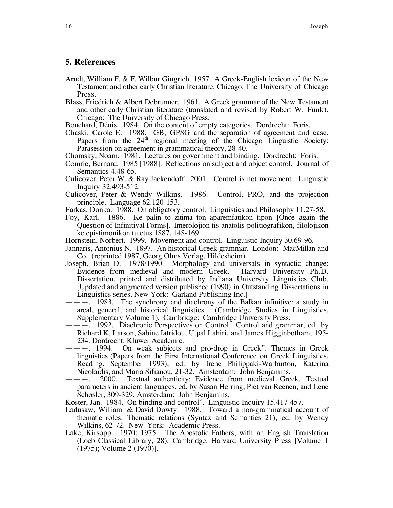### **5. References**

- Arndt, William F. & F. Wilbur Gingrich. 1957. A Greek-English lexicon of the New Testament and other early Christian literature. Chicago: The University of Chicago Press.
- Blass, Friedrich & Albert Debrunner. 1961. A Greek grammar of the New Testament and other early Christian literature (translated and revised by Robert W. Funk). Chicago: The University of Chicago Press.

Bouchard, DÈnis. 1984. On the content of empty categories. Dordrecht: Foris.

Chaski, Carole E. 1988. GB, GPSG and the separation of agreement and case. Papers from the  $24<sup>th</sup>$  regional meeting of the Chicago Linguistic Society: Parasession on agreement in grammatical theory, 28-40.

Chomsky, Noam. 1981. Lectures on government and binding. Dordrecht: Foris.

- Comrie, Bernard. 1985 [1988]. Reflections on subject and object control. Journal of Semantics 4.48-65.
- Culicover, Peter W. & Ray Jackendoff. 2001. Control is not movement. Linguistic Inquiry 32.493-512.
- Culicover, Peter & Wendy Wilkins. 1986. Control, PRO, and the projection principle. Language 62.120-153.
- Farkas, Donka. 1988. On obligatory control. Linguistics and Philosophy 11.27-58.
- Foy, Karl. 1886. Ke palin to zitima ton aparemfatikon tipon [Once again the Question of Infinitival Forms]. Imerolojion tis anatolis politiografikon, filolojikon ke epistimonikon tu etus 1887, 148-169.

Hornstein, Norbert. 1999. Movement and control. Linguistic Inquiry 30.69-96.

- Jannaris, Antonius N. 1897. An historical Greek grammar. London: MacMillan and Co. (reprinted 1987, Georg Olms Verlag, Hildesheim).
- Joseph, Brian D. 1978/1990. Morphology and universals in syntactic change: Evidence from medieval and modern Greek. Dissertation, printed and distributed by Indiana University Linguistics Club. [Updated and augmented version published (1990) in Outstanding Dissertations in Linguistics series, New York: Garland Publishing Inc.]
- $-\,$   $\,$  1983. The synchrony and diachrony of the Balkan infinitive: a study in areal, general, and historical linguistics. (Cambridge Studies in Linguistics, Supplementary Volume 1). Cambridge: Cambridge University Press.
- óóó. 1992. Diachronic Perspectives on Control. Control and grammar, ed. by Richard K. Larson, Sabine Iatridou, Utpal Lahiri, and James Higginbotham, 195- 234. Dordrecht: Kluwer Academic.
- $---$ . 1994. On weak subjects and pro-drop in Greek". Themes in Greek linguistics (Papers from the First International Conference on Greek Linguistics, Reading, September 1993), ed. by Irene Philippaki-Warburton, Katerina Nicolaidis, and Maria Sifianou, 21-32. Amsterdam: John Benjamins.
- $---$  2000. Textual authenticity: Evidence from medieval Greek. Textual parameters in ancient languages, ed. by Susan Herring, Piet van Reenen, and Lene Schøsler, 309-329. Amsterdam: John Benjamins.

Koster, Jan. 1984. On binding and control". Linguistic Inquiry 15.417-457.

- Ladusaw, William & David Dowty. 1988. Toward a non-grammatical account of thematic roles. Thematic relations (Syntax and Semantics 21), ed. by Wendy Wilkins, 62-72. New York: Academic Press.
- Lake, Kirsopp. 1970; 1975. The Apostolic Fathers; with an English Translation (Loeb Classical Library, 28). Cambridge: Harvard University Press [Volume 1 (1975); Volume 2 (1970)].